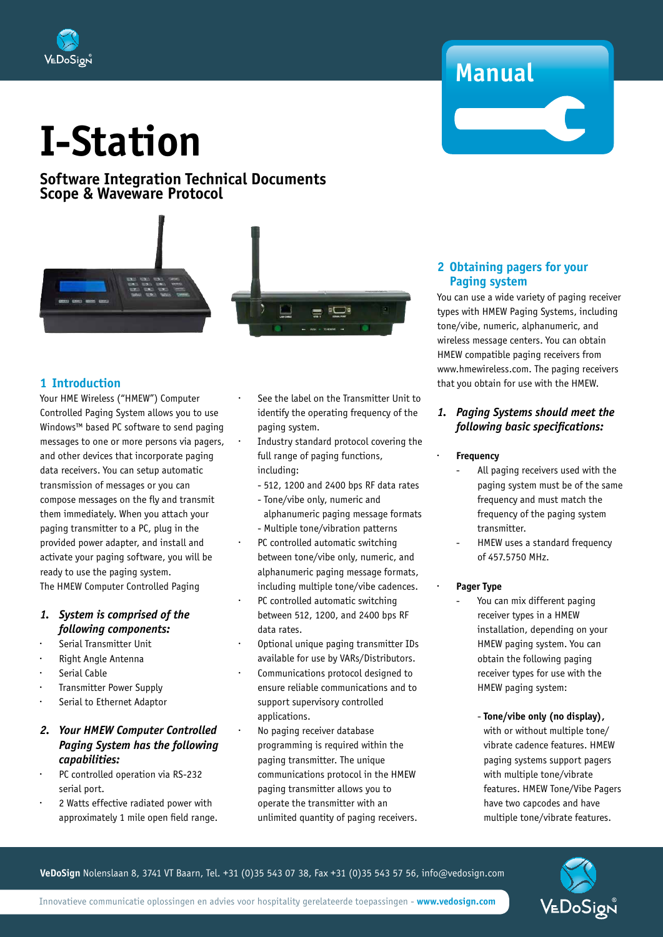

#### **Software Integration Technical Documents Scope & Waveware Protocol**



#### **1 Introduction**

Your HME Wireless ("HMEW") Computer Controlled Paging System allows you to use Windows™ based PC software to send paging messages to one or more persons via pagers, and other devices that incorporate paging data receivers. You can setup automatic transmission of messages or you can compose messages on the fly and transmit them immediately. When you attach your paging transmitter to a PC, plug in the provided power adapter, and install and activate your paging software, you will be ready to use the paging system. The HMEW Computer Controlled Paging

#### *1. System is comprised of the following components:*

- Serial Transmitter Unit
- Right Angle Antenna
- Serial Cable
- · Transmitter Power Supply
- · Serial to Ethernet Adaptor

#### *2. Your HMEW Computer Controlled Paging System has the following capabilities:*

- PC controlled operation via RS-232 serial port.
- · 2 Watts effective radiated power with approximately 1 mile open field range.
- See the label on the Transmitter Unit to identify the operating frequency of the paging system.
- Industry standard protocol covering the full range of paging functions, including:
	- 512, 1200 and 2400 bps RF data rates
	- Tone/vibe only, numeric and alphanumeric paging message formats - Multiple tone/vibration patterns
- PC controlled automatic switching between tone/vibe only, numeric, and alphanumeric paging message formats, including multiple tone/vibe cadences.
- PC controlled automatic switching between 512, 1200, and 2400 bps RF data rates.
- · Optional unique paging transmitter IDs available for use by VARs/Distributors.
- Communications protocol designed to ensure reliable communications and to support supervisory controlled applications.
- No paging receiver database programming is required within the paging transmitter. The unique communications protocol in the HMEW paging transmitter allows you to operate the transmitter with an unlimited quantity of paging receivers.

#### **2 Obtaining pagers for your Paging system**

**Manual**

You can use a wide variety of paging receiver types with HMEW Paging Systems, including tone/vibe, numeric, alphanumeric, and wireless message centers. You can obtain HMEW compatible paging receivers from www.hmewireless.com. The paging receivers that you obtain for use with the HMEW.

#### *1. Paging Systems should meet the following basic specifications:*

#### **Frequency**

- All paging receivers used with the paging system must be of the same frequency and must match the frequency of the paging system transmitter.
- HMEW uses a standard frequency of 457.5750 MHz.

#### · **Pager Type**

- You can mix different paging receiver types in a HMEW installation, depending on your HMEW paging system. You can obtain the following paging receiver types for use with the HMEW paging system:
	- **Tone/vibe only (no display),**  with or without multiple tone/ vibrate cadence features. HMEW paging systems support pagers with multiple tone/vibrate features. HMEW Tone/Vibe Pagers have two capcodes and have multiple tone/vibrate features.



**VeDoSign** Nolenslaan 8, 3741 VT Baarn, Tel. +31 (0)35 543 07 38, Fax +31 (0)35 543 57 56, info@vedosign.com

Innovatieve communicatie oplossingen en advies voor hospitality gerelateerde toepassingen - **www.vedosign.com**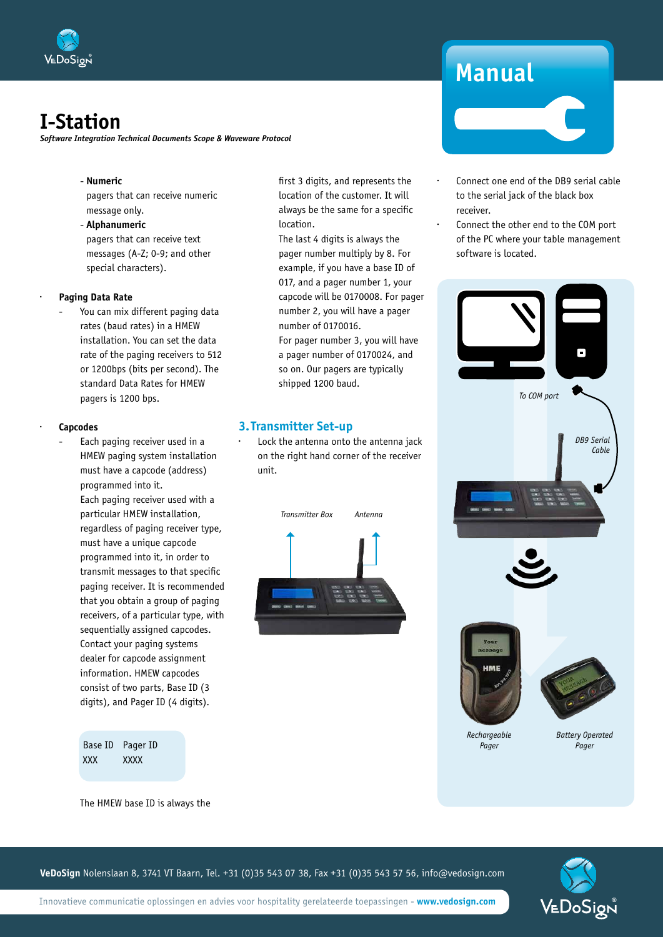

*Software Integration Technical Documents Scope & Waveware Protocol*

#### - **Numeric**

pagers that can receive numeric message only.

 - **Alphanumeric** pagers that can receive text messages (A-Z; 0-9; and other special characters).

#### · **Paging Data Rate**

You can mix different paging data rates (baud rates) in a HMEW installation. You can set the data rate of the paging receivers to 512 or 1200bps (bits per second). The standard Data Rates for HMEW pagers is 1200 bps.

#### · **Capcodes**

Each paging receiver used in a HMEW paging system installation must have a capcode (address) programmed into it. Each paging receiver used with a particular HMEW installation, regardless of paging receiver type, must have a unique capcode programmed into it, in order to transmit messages to that specific paging receiver. It is recommended that you obtain a group of paging receivers, of a particular type, with sequentially assigned capcodes. Contact your paging systems dealer for capcode assignment information. HMEW capcodes consist of two parts, Base ID (3 digits), and Pager ID (4 digits).

> Base ID Pager ID XXX XXXX

first 3 digits, and represents the location of the customer. It will always be the same for a specific location.

The last 4 digits is always the pager number multiply by 8. For example, if you have a base ID of 017, and a pager number 1, your capcode will be 0170008. For pager number 2, you will have a pager number of 0170016.

For pager number 3, you will have a pager number of 0170024, and so on. Our pagers are typically shipped 1200 baud.

#### **3.Transmitter Set-up**

Lock the antenna onto the antenna jack on the right hand corner of the receiver unit.



## **Manual**

- Connect one end of the DB9 serial cable to the serial jack of the black box receiver.
- Connect the other end to the COM port of the PC where your table management software is located.



The HMEW base ID is always the

**VeDoSign** Nolenslaan 8, 3741 VT Baarn, Tel. +31 (0)35 543 07 38, Fax +31 (0)35 543 57 56, info@vedosign.com

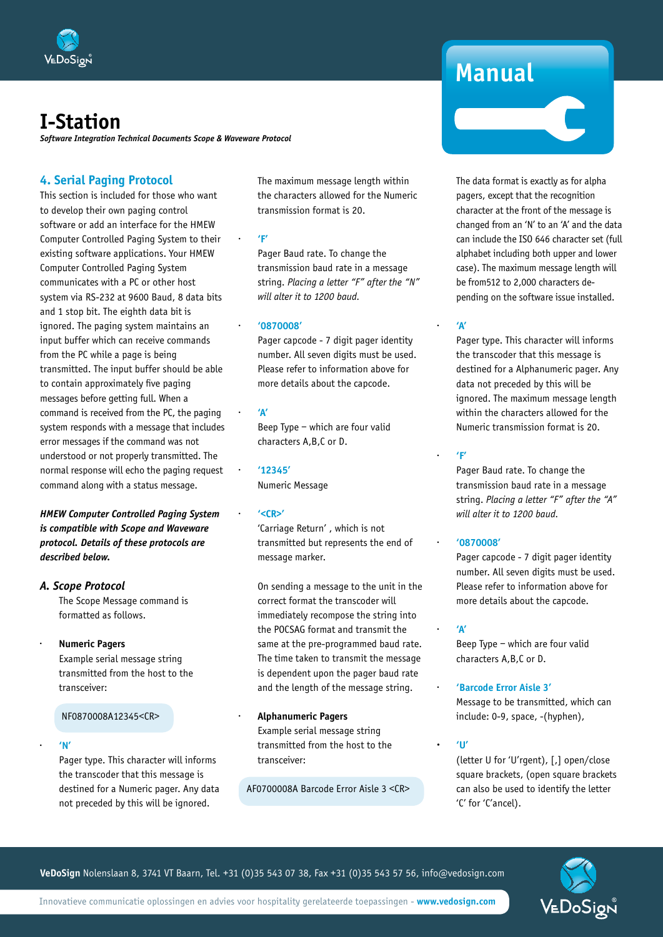

*Software Integration Technical Documents Scope & Waveware Protocol*

#### **4. Serial Paging Protocol**

This section is included for those who want to develop their own paging control software or add an interface for the HMEW Computer Controlled Paging System to their existing software applications. Your HMEW Computer Controlled Paging System communicates with a PC or other host system via RS-232 at 9600 Baud, 8 data bits and 1 stop bit. The eighth data bit is ignored. The paging system maintains an input buffer which can receive commands from the PC while a page is being transmitted. The input buffer should be able to contain approximately five paging messages before getting full. When a command is received from the PC, the paging system responds with a message that includes error messages if the command was not understood or not properly transmitted. The normal response will echo the paging request command along with a status message.

*HMEW Computer Controlled Paging System is compatible with Scope and Waveware protocol. Details of these protocols are described below.*

- *A. Scope Protocol* The Scope Message command is
	- formatted as follows.
	- · **Numeric Pagers** Example serial message string transmitted from the host to the transceiver:

NF0870008A12345<CR>

· **'N'** 

 Pager type. This character will informs the transcoder that this message is destined for a Numeric pager. Any data not preceded by this will be ignored.

The maximum message length within the characters allowed for the Numeric transmission format is 20.

· **'F'**

 Pager Baud rate. To change the transmission baud rate in a message string. *Placing a letter "F" after the "N" will alter it to 1200 baud.*

· **'0870008'** 

 Pager capcode - 7 digit pager identity number. All seven digits must be used. Please refer to information above for more details about the capcode.

· **'A'**

 Beep Type – which are four valid characters A,B,C or D.

· **'12345'** Numeric Message

· **'<CR>'**

 'Carriage Return' , which is not transmitted but represents the end of message marker.

 On sending a message to the unit in the correct format the transcoder will immediately recompose the string into the POCSAG format and transmit the same at the pre-programmed baud rate. The time taken to transmit the message is dependent upon the pager baud rate and the length of the message string.

· **Alphanumeric Pagers** Example serial message string transmitted from the host to the transceiver:

AF0700008A Barcode Error Aisle 3 <CR>

## **Manual**

 The data format is exactly as for alpha pagers, except that the recognition character at the front of the message is changed from an 'N' to an 'A' and the data can include the ISO 646 character set (full alphabet including both upper and lower case). The maximum message length will be from512 to 2,000 characters depending on the software issue installed.

#### · **'A'**

 Pager type. This character will informs the transcoder that this message is destined for a Alphanumeric pager. Any data not preceded by this will be ignored. The maximum message length within the characters allowed for the Numeric transmission format is 20.

#### · **'F'**

 Pager Baud rate. To change the transmission baud rate in a message string. *Placing a letter "F" after the "A" will alter it to 1200 baud.*

#### · **'0870008'**

 Pager capcode - 7 digit pager identity number. All seven digits must be used. Please refer to information above for more details about the capcode.

#### · **'A'**

 Beep Type – which are four valid characters A,B,C or D.

· **'Barcode Error Aisle 3'** Message to be transmitted, which can

include: 0-9, space, -(hyphen),

**· 'U'** 

 (letter U for 'U'rgent), [,] open/close square brackets, (open square brackets can also be used to identify the letter 'C' for 'C'ancel).

**VeDoSign** Nolenslaan 8, 3741 VT Baarn, Tel. +31 (0)35 543 07 38, Fax +31 (0)35 543 57 56, info@vedosign.com

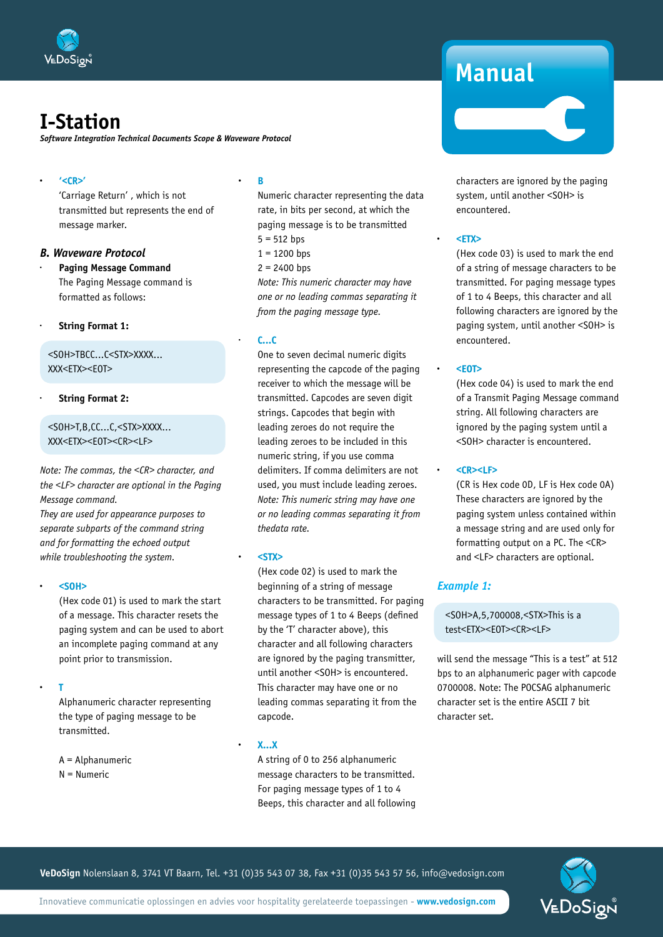

*Software Integration Technical Documents Scope & Waveware Protocol*

#### **· '<CR>'**

 'Carriage Return' , which is not transmitted but represents the end of message marker.

#### *B. Waveware Protocol*

**Paging Message Command**  The Paging Message command is formatted as follows:

#### · **String Format 1:**

 <SOH>TBCC...C<STX>XXXX... XXX<ETX><EOT>

#### · **String Format 2:**

 <SOH>T,B,CC...C,<STX>XXXX... XXX<ETX><EOT><CR><LF>

*Note: The commas, the <CR> character, and the <LF> character are optional in the Paging Message command.* 

*They are used for appearance purposes to separate subparts of the command string and for formatting the echoed output while troubleshooting the system.*

#### **· <SOH>**

 (Hex code 01) is used to mark the start of a message. This character resets the paging system and can be used to abort an incomplete paging command at any point prior to transmission.

#### **· T**

 Alphanumeric character representing the type of paging message to be transmitted.

 A = Alphanumeric N = Numeric

#### **· B**

 Numeric character representing the data rate, in bits per second, at which the paging message is to be transmitted

- $5 = 512$  bps
- $1 = 1200$  bps
- $2 = 2400$  bps

 *Note: This numeric character may have one or no leading commas separating it from the paging message type.*

#### · **C...C**

 One to seven decimal numeric digits representing the capcode of the paging receiver to which the message will be transmitted. Capcodes are seven digit strings. Capcodes that begin with leading zeroes do not require the leading zeroes to be included in this numeric string, if you use comma delimiters. If comma delimiters are not used, you must include leading zeroes.  *Note: This numeric string may have one or no leading commas separating it from thedata rate.*

#### **· <STX>**

 (Hex code 02) is used to mark the beginning of a string of message characters to be transmitted. For paging message types of 1 to 4 Beeps (defined by the 'T' character above), this character and all following characters are ignored by the paging transmitter, until another <SOH> is encountered. This character may have one or no leading commas separating it from the capcode.

**· X...X**

 A string of 0 to 256 alphanumeric message characters to be transmitted. For paging message types of 1 to 4 Beeps, this character and all following

## **Manual**

characters are ignored by the paging system, until another <SOH> is encountered.

#### **· <ETX>**

 (Hex code 03) is used to mark the end of a string of message characters to be transmitted. For paging message types of 1 to 4 Beeps, this character and all following characters are ignored by the paging system, until another <SOH> is encountered.

#### **· <EOT>**

 (Hex code 04) is used to mark the end of a Transmit Paging Message command string. All following characters are ignored by the paging system until a <SOH> character is encountered.

#### **· <CR><LF>**

 (CR is Hex code 0D, LF is Hex code 0A) These characters are ignored by the paging system unless contained within a message string and are used only for formatting output on a PC. The <CR> and <LF> characters are optional.

#### *Example 1:*

 <SOH>A,5,700008,<STX>This is a test<ETX><EOT><CR><LF>

will send the message "This is a test" at 512 bps to an alphanumeric pager with capcode 0700008. Note: The POCSAG alphanumeric character set is the entire ASCII 7 bit character set.

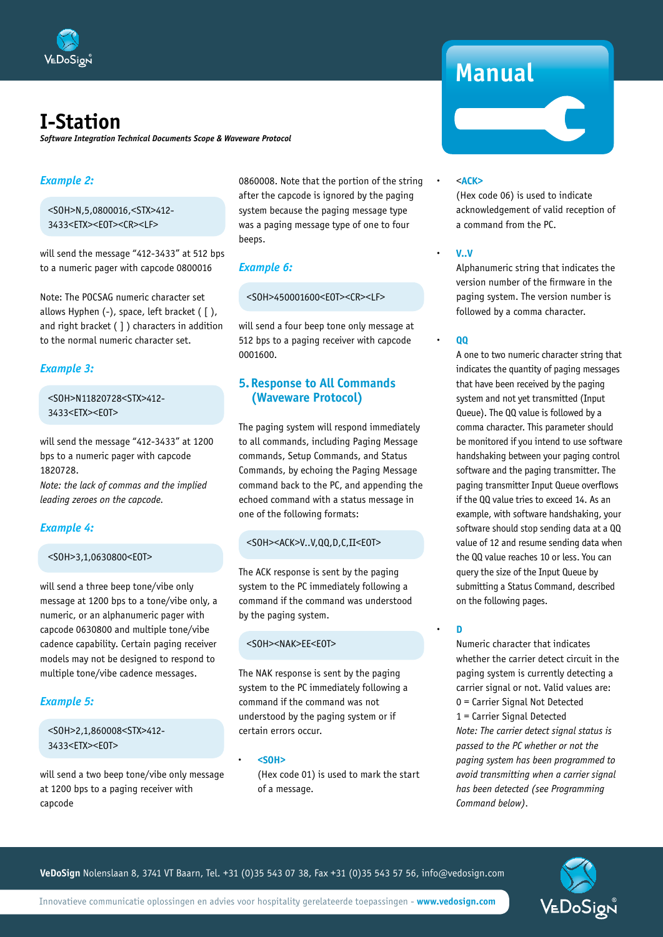

*Software Integration Technical Documents Scope & Waveware Protocol*

#### *Example 2:*

 <SOH>N,5,0800016,<STX>412- 3433<ETX><EOT><CR><LF>

will send the message "412-3433" at 512 bps to a numeric pager with capcode 0800016

Note: The POCSAG numeric character set allows Hyphen (-), space, left bracket ( [ ), and right bracket ( ] ) characters in addition to the normal numeric character set.

#### *Example 3:*

 <SOH>N11820728<STX>412- 3433<ETX><EOT>

will send the message "412-3433" at 1200 bps to a numeric pager with capcode 1820728.

*Note: the lack of commas and the implied leading zeroes on the capcode.*

#### *Example 4:*

#### <SOH>3,1,0630800<EOT>

will send a three beep tone/vibe only message at 1200 bps to a tone/vibe only, a numeric, or an alphanumeric pager with capcode 0630800 and multiple tone/vibe cadence capability. Certain paging receiver models may not be designed to respond to multiple tone/vibe cadence messages.

#### *Example 5:*

 <SOH>2,1,860008<STX>412- 3433<ETX><EOT>

will send a two beep tone/vibe only message at 1200 bps to a paging receiver with capcode

0860008. Note that the portion of the string after the capcode is ignored by the paging system because the paging message type was a paging message type of one to four beeps.

#### *Example 6:*

<SOH>450001600<EOT><CR><LF>

will send a four beep tone only message at 512 bps to a paging receiver with capcode 0001600.

#### **5. Response to All Commands (Waveware Protocol)**

The paging system will respond immediately to all commands, including Paging Message commands, Setup Commands, and Status Commands, by echoing the Paging Message command back to the PC, and appending the echoed command with a status message in one of the following formats:

#### <SOH><ACK>V..V,QQ,D,C,II<EOT>

The ACK response is sent by the paging system to the PC immediately following a command if the command was understood by the paging system.

#### <SOH><NAK>EE<EOT>

The NAK response is sent by the paging system to the PC immediately following a command if the command was not understood by the paging system or if certain errors occur.

**· <SOH>**

 (Hex code 01) is used to mark the start of a message.

## **Manual**

#### **·** <**ACK>**

 (Hex code 06) is used to indicate acknowledgement of valid reception of a command from the PC.

#### **· V..V**

 Alphanumeric string that indicates the version number of the firmware in the paging system. The version number is followed by a comma character.

#### **· QQ**

 A one to two numeric character string that indicates the quantity of paging messages that have been received by the paging system and not yet transmitted (Input Queue). The QQ value is followed by a comma character. This parameter should be monitored if you intend to use software handshaking between your paging control software and the paging transmitter. The paging transmitter Input Queue overflows if the QQ value tries to exceed 14. As an example, with software handshaking, your software should stop sending data at a QQ value of 12 and resume sending data when the QQ value reaches 10 or less. You can query the size of the Input Queue by submitting a Status Command, described on the following pages.

#### **· D**

 Numeric character that indicates whether the carrier detect circuit in the paging system is currently detecting a carrier signal or not. Valid values are: 0 = Carrier Signal Not Detected 1 = Carrier Signal Detected  *Note: The carrier detect signal status is passed to the PC whether or not the paging system has been programmed to avoid transmitting when a carrier signal has been detected (see Programming Command below).*

**VeDoSign** Nolenslaan 8, 3741 VT Baarn, Tel. +31 (0)35 543 07 38, Fax +31 (0)35 543 57 56, info@vedosign.com



Innovatieve communicatie oplossingen en advies voor hospitality gerelateerde toepassingen - **www.vedosign.com**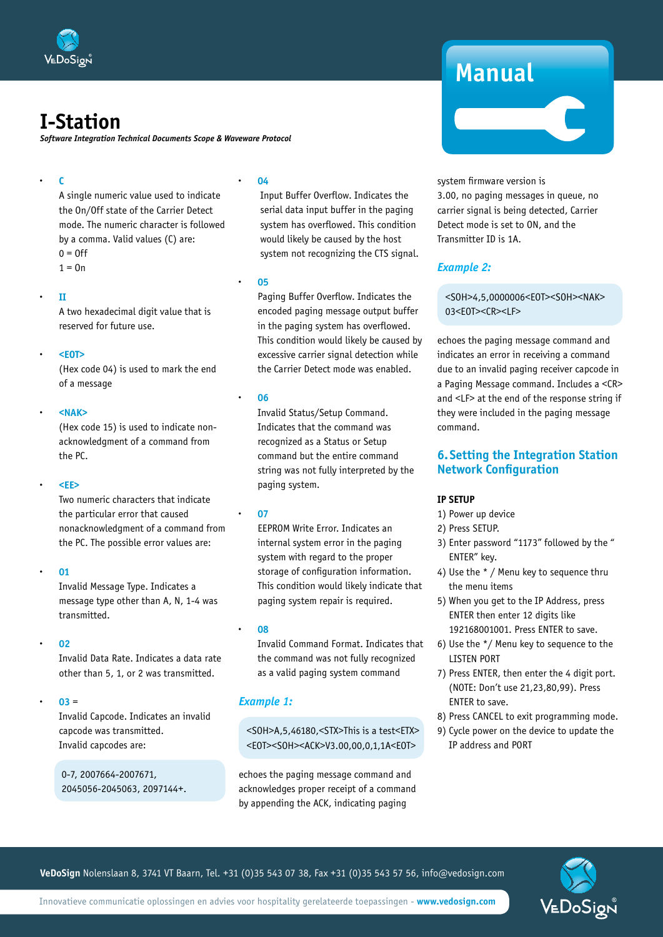

*Software Integration Technical Documents Scope & Waveware Protocol*

#### **· C**

 A single numeric value used to indicate the On/Off state of the Carrier Detect mode. The numeric character is followed by a comma. Valid values (C) are:  $0 = 0$ ff  $1 = 0n$ 

#### **· II**

 A two hexadecimal digit value that is reserved for future use.

#### **· <EOT>**

 (Hex code 04) is used to mark the end of a message

#### **· <NAK>**

 (Hex code 15) is used to indicate nonacknowledgment of a command from the PC.

#### **· <EE>**

 Two numeric characters that indicate the particular error that caused nonacknowledgment of a command from the PC. The possible error values are:

#### **· 01**

 Invalid Message Type. Indicates a message type other than A, N, 1-4 was transmitted.

#### **· 02**

 Invalid Data Rate. Indicates a data rate other than 5, 1, or 2 was transmitted.

#### $03 =$

 Invalid Capcode. Indicates an invalid capcode was transmitted. Invalid capcodes are:

0-7, 2007664-2007671, 2045056-2045063, 2097144+.

#### **· 04**

 Input Buffer Overflow. Indicates the serial data input buffer in the paging system has overflowed. This condition would likely be caused by the host system not recognizing the CTS signal.

#### **· 05**

 Paging Buffer Overflow. Indicates the encoded paging message output buffer in the paging system has overflowed. This condition would likely be caused by excessive carrier signal detection while the Carrier Detect mode was enabled.

#### **· 06**

 Invalid Status/Setup Command. Indicates that the command was recognized as a Status or Setup command but the entire command string was not fully interpreted by the paging system.

#### **· 07**

 EEPROM Write Error. Indicates an internal system error in the paging system with regard to the proper storage of configuration information. This condition would likely indicate that paging system repair is required.

#### **· 08**

 Invalid Command Format. Indicates that the command was not fully recognized as a valid paging system command

#### *Example 1:*

 <SOH>A,5,46180,<STX>This is a test<ETX> <E0T><S0H><ACK>V3.00,00,0,1,1A<E0T>

echoes the paging message command and acknowledges proper receipt of a command by appending the ACK, indicating paging

## **Manual**

system firmware version is 3.00, no paging messages in queue, no carrier signal is being detected, Carrier Detect mode is set to ON, and the Transmitter ID is 1A.

#### *Example 2:*

 <SOH>4,5,0000006<EOT><SOH><NAK> 03<EOT><CR><LF>

echoes the paging message command and indicates an error in receiving a command due to an invalid paging receiver capcode in a Paging Message command. Includes a <CR> and <LF> at the end of the response string if they were included in the paging message command.

#### **6.Setting the Integration Station Network Configuration**

#### **IP SETUP**

- 1) Power up device
- 2) Press SETUP.
- 3) Enter password "1173" followed by the " ENTER" key.
- 4) Use the \* / Menu key to sequence thru the menu items
- 5) When you get to the IP Address, press ENTER then enter 12 digits like 192168001001. Press ENTER to save.
- 6) Use the \*/ Menu key to sequence to the LISTEN PORT
- 7) Press ENTER, then enter the 4 digit port. (NOTE: Don't use 21,23,80,99). Press ENTER to save.
- 8) Press CANCEL to exit programming mode.
- 9) Cycle power on the device to update the IP address and PORT